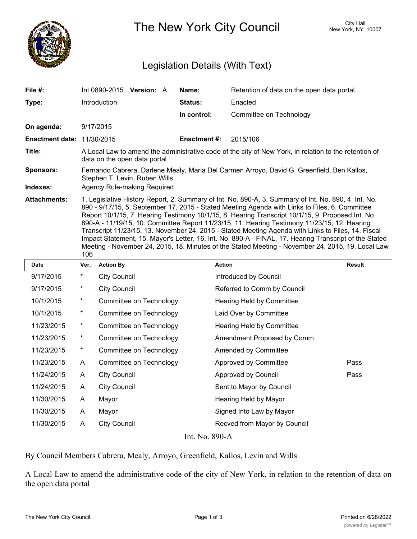

The New York City Council New York, NY 10007

## Legislation Details (With Text)

| File #:                           | Int $0890-2015$ Version: A                                                                                                                                                                                                                                                                                                                                                                                                                                                                                                                                                                                                                                                                                                              |  |  | Name:               | Retention of data on the open data portal. |  |  |  |
|-----------------------------------|-----------------------------------------------------------------------------------------------------------------------------------------------------------------------------------------------------------------------------------------------------------------------------------------------------------------------------------------------------------------------------------------------------------------------------------------------------------------------------------------------------------------------------------------------------------------------------------------------------------------------------------------------------------------------------------------------------------------------------------------|--|--|---------------------|--------------------------------------------|--|--|--|
| Type:                             | <b>Introduction</b>                                                                                                                                                                                                                                                                                                                                                                                                                                                                                                                                                                                                                                                                                                                     |  |  | <b>Status:</b>      | Enacted                                    |  |  |  |
|                                   |                                                                                                                                                                                                                                                                                                                                                                                                                                                                                                                                                                                                                                                                                                                                         |  |  | In control:         | Committee on Technology                    |  |  |  |
| On agenda:                        | 9/17/2015                                                                                                                                                                                                                                                                                                                                                                                                                                                                                                                                                                                                                                                                                                                               |  |  |                     |                                            |  |  |  |
| <b>Enactment date: 11/30/2015</b> |                                                                                                                                                                                                                                                                                                                                                                                                                                                                                                                                                                                                                                                                                                                                         |  |  | <b>Enactment #:</b> | 2015/106                                   |  |  |  |
| Title:                            | A Local Law to amend the administrative code of the city of New York, in relation to the retention of<br>data on the open data portal                                                                                                                                                                                                                                                                                                                                                                                                                                                                                                                                                                                                   |  |  |                     |                                            |  |  |  |
| <b>Sponsors:</b>                  | Fernando Cabrera, Darlene Mealy, Maria Del Carmen Arroyo, David G. Greenfield, Ben Kallos,<br>Stephen T. Levin, Ruben Wills                                                                                                                                                                                                                                                                                                                                                                                                                                                                                                                                                                                                             |  |  |                     |                                            |  |  |  |
| Indexes:                          | Agency Rule-making Required                                                                                                                                                                                                                                                                                                                                                                                                                                                                                                                                                                                                                                                                                                             |  |  |                     |                                            |  |  |  |
| <b>Attachments:</b>               | 1. Legislative History Report, 2. Summary of Int. No. 890-A, 3. Summary of Int. No. 890, 4. Int. No.<br>890 - 9/17/15, 5. September 17, 2015 - Stated Meeting Agenda with Links to Files, 6. Committee<br>Report 10/1/15, 7. Hearing Testimony 10/1/15, 8. Hearing Transcript 10/1/15, 9. Proposed Int. No.<br>890-A - 11/19/15, 10. Committee Report 11/23/15, 11. Hearing Testimony 11/23/15, 12. Hearing<br>Transcript 11/23/15, 13. November 24, 2015 - Stated Meeting Agenda with Links to Files, 14. Fiscal<br>Impact Statement, 15. Mayor's Letter, 16. Int. No. 890-A - FINAL, 17. Hearing Transcript of the Stated<br>Meeting - November 24, 2015, 18. Minutes of the Stated Meeting - November 24, 2015, 19. Local Law<br>106 |  |  |                     |                                            |  |  |  |

| <b>Date</b>    | Ver.     | <b>Action By</b>        | <b>Action</b>                | Result |  |  |  |  |
|----------------|----------|-------------------------|------------------------------|--------|--|--|--|--|
| 9/17/2015      | $^\star$ | <b>City Council</b>     | Introduced by Council        |        |  |  |  |  |
| 9/17/2015      | $^\star$ | <b>City Council</b>     | Referred to Comm by Council  |        |  |  |  |  |
| 10/1/2015      | $\ast$   | Committee on Technology | Hearing Held by Committee    |        |  |  |  |  |
| 10/1/2015      | $\star$  | Committee on Technology | Laid Over by Committee       |        |  |  |  |  |
| 11/23/2015     | $^\star$ | Committee on Technology | Hearing Held by Committee    |        |  |  |  |  |
| 11/23/2015     | $\ast$   | Committee on Technology | Amendment Proposed by Comm   |        |  |  |  |  |
| 11/23/2015     | $^\star$ | Committee on Technology | <b>Amended by Committee</b>  |        |  |  |  |  |
| 11/23/2015     | A        | Committee on Technology | Approved by Committee        | Pass   |  |  |  |  |
| 11/24/2015     | A        | <b>City Council</b>     | Approved by Council          | Pass   |  |  |  |  |
| 11/24/2015     | A        | <b>City Council</b>     | Sent to Mayor by Council     |        |  |  |  |  |
| 11/30/2015     | A        | Mayor                   | Hearing Held by Mayor        |        |  |  |  |  |
| 11/30/2015     | A        | Mayor                   | Signed Into Law by Mayor     |        |  |  |  |  |
| 11/30/2015     | A        | <b>City Council</b>     | Recved from Mayor by Council |        |  |  |  |  |
| Int. No. 890-A |          |                         |                              |        |  |  |  |  |

By Council Members Cabrera, Mealy, Arroyo, Greenfield, Kallos, Levin and Wills

A Local Law to amend the administrative code of the city of New York, in relation to the retention of data on the open data portal